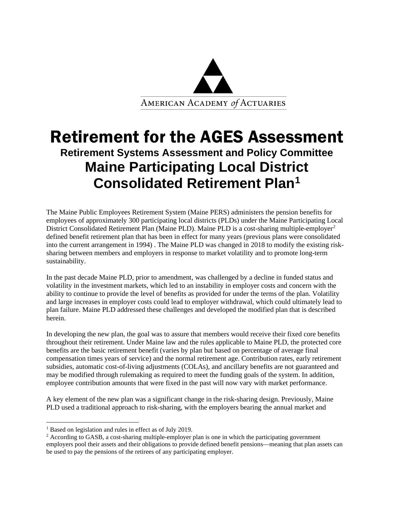

# Retirement for the AGES Assessment **Retirement Systems Assessment and Policy Committee Maine Participating Local District Consolidated Retirement Plan[1](#page-0-0)**

The Maine Public Employees Retirement System (Maine PERS) administers the pension benefits for employees of approximately 300 participating local districts (PLDs) under the Maine Participating Local District Consolidated Retirement Plan (Maine PLD). Maine PLD is a cost-sharing multiple-employer<sup>[2](#page-0-1)</sup> defined benefit retirement plan that has been in effect for many years (previous plans were consolidated into the current arrangement in 1994) . The Maine PLD was changed in 2018 to modify the existing risksharing between members and employers in response to market volatility and to promote long-term sustainability.

In the past decade Maine PLD, prior to amendment, was challenged by a decline in funded status and volatility in the investment markets, which led to an instability in employer costs and concern with the ability to continue to provide the level of benefits as provided for under the terms of the plan. Volatility and large increases in employer costs could lead to employer withdrawal, which could ultimately lead to plan failure. Maine PLD addressed these challenges and developed the modified plan that is described herein.

In developing the new plan, the goal was to assure that members would receive their fixed core benefits throughout their retirement. Under Maine law and the rules applicable to Maine PLD, the protected core benefits are the basic retirement benefit (varies by plan but based on percentage of average final compensation times years of service) and the normal retirement age. Contribution rates, early retirement subsidies, automatic cost-of-living adjustments (COLAs), and ancillary benefits are not guaranteed and may be modified through rulemaking as required to meet the funding goals of the system. In addition, employee contribution amounts that were fixed in the past will now vary with market performance.

A key element of the new plan was a significant change in the risk-sharing design. Previously, Maine PLD used a traditional approach to risk-sharing, with the employers bearing the annual market and

<span id="page-0-0"></span><sup>&</sup>lt;sup>1</sup> Based on legislation and rules in effect as of July 2019.

<span id="page-0-1"></span> $2$  According to GASB, a cost-sharing multiple-employer plan is one in which the participating government employers pool their assets and their obligations to provide defined benefit pensions—meaning that plan assets can be used to pay the pensions of the retirees of any participating employer.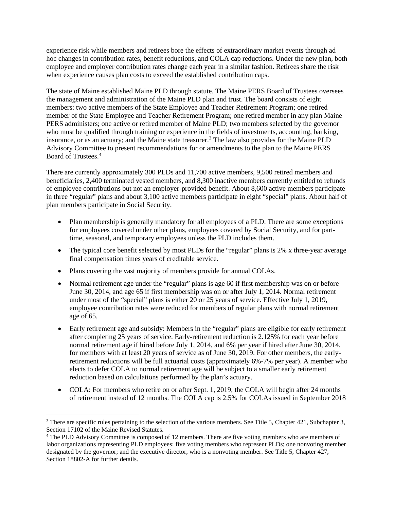experience risk while members and retirees bore the effects of extraordinary market events through ad hoc changes in contribution rates, benefit reductions, and COLA cap reductions. Under the new plan, both employee and employer contribution rates change each year in a similar fashion. Retirees share the risk when experience causes plan costs to exceed the established contribution caps.

The state of Maine established Maine PLD through statute. The Maine PERS Board of Trustees oversees the management and administration of the Maine PLD plan and trust. The board consists of eight members: two active members of the State Employee and Teacher Retirement Program; one retired member of the State Employee and Teacher Retirement Program; one retired member in any plan Maine PERS administers; one active or retired member of Maine PLD; two members selected by the governor who must be qualified through training or experience in the fields of investments, accounting, banking, insurance, or as an actuary; and the Maine state treasurer. [3](#page-1-0) The law also provides for the Maine PLD Advisory Committee to present recommendations for or amendments to the plan to the Maine PERS Board of Trustees.[4](#page-1-1)

There are currently approximately 300 PLDs and 11,700 active members, 9,500 retired members and beneficiaries, 2,400 terminated vested members, and 8,300 inactive members currently entitled to refunds of employee contributions but not an employer-provided benefit. About 8,600 active members participate in three "regular" plans and about 3,100 active members participate in eight "special" plans. About half of plan members participate in Social Security.

- Plan membership is generally mandatory for all employees of a PLD. There are some exceptions for employees covered under other plans, employees covered by Social Security, and for parttime, seasonal, and temporary employees unless the PLD includes them.
- The typical core benefit selected by most PLDs for the "regular" plans is 2% x three-year average final compensation times years of creditable service.
- Plans covering the vast majority of members provide for annual COLAs.
- Normal retirement age under the "regular" plans is age 60 if first membership was on or before June 30, 2014, and age 65 if first membership was on or after July 1, 2014. Normal retirement under most of the "special" plans is either 20 or 25 years of service. Effective July 1, 2019, employee contribution rates were reduced for members of regular plans with normal retirement age of 65,
- Early retirement age and subsidy: Members in the "regular" plans are eligible for early retirement after completing 25 years of service. Early-retirement reduction is 2.125% for each year before normal retirement age if hired before July 1, 2014, and 6% per year if hired after June 30, 2014, for members with at least 20 years of service as of June 30, 2019. For other members, the earlyretirement reductions will be full actuarial costs (approximately 6%-7% per year). A member who elects to defer COLA to normal retirement age will be subject to a smaller early retirement reduction based on calculations performed by the plan's actuary.
- COLA: For members who retire on or after Sept. 1, 2019, the COLA will begin after 24 months of retirement instead of 12 months. The COLA cap is 2.5% for COLAs issued in September 2018

<span id="page-1-0"></span><sup>&</sup>lt;sup>3</sup> There are specific rules pertaining to the selection of the various members. See Title 5, Chapter 421, Subchapter 3, Section 17102 of the Maine Revised Statutes.

<span id="page-1-1"></span><sup>4</sup> The PLD Advisory Committee is composed of 12 members. There are five voting members who are members of labor organizations representing PLD employees; five voting members who represent PLDs; one nonvoting member designated by the governor; and the executive director, who is a nonvoting member. See Title 5, Chapter 427, Section 18802-A for further details.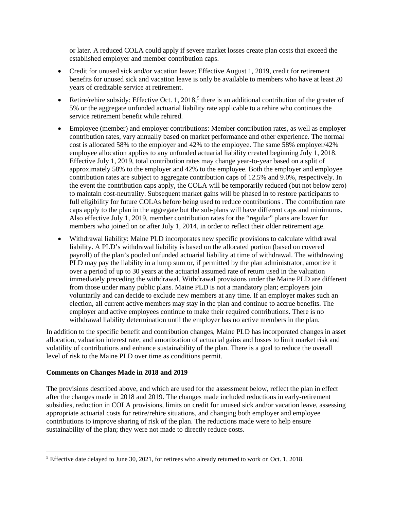or later. A reduced COLA could apply if severe market losses create plan costs that exceed the established employer and member contribution caps.

- Credit for unused sick and/or vacation leave: Effective August 1, 2019, credit for retirement benefits for unused sick and vacation leave is only be available to members who have at least 20 years of creditable service at retirement.
- Retire/rehire subsidy: Effective Oct. 1, 2018,<sup>[5](#page-2-0)</sup> there is an additional contribution of the greater of 5% or the aggregate unfunded actuarial liability rate applicable to a rehire who continues the service retirement benefit while rehired.
- Employee (member) and employer contributions: Member contribution rates, as well as employer contribution rates, vary annually based on market performance and other experience. The normal cost is allocated 58% to the employer and 42% to the employee. The same 58% employer/42% employee allocation applies to any unfunded actuarial liability created beginning July 1, 2018. Effective July 1, 2019, total contribution rates may change year-to-year based on a split of approximately 58% to the employer and 42% to the employee. Both the employer and employee contribution rates are subject to aggregate contribution caps of 12.5% and 9.0%, respectively. In the event the contribution caps apply, the COLA will be temporarily reduced (but not below zero) to maintain cost-neutrality. Subsequent market gains will be phased in to restore participants to full eligibility for future COLAs before being used to reduce contributions . The contribution rate caps apply to the plan in the aggregate but the sub-plans will have different caps and minimums. Also effective July 1, 2019, member contribution rates for the "regular" plans are lower for members who joined on or after July 1, 2014, in order to reflect their older retirement age.
- Withdrawal liability: Maine PLD incorporates new specific provisions to calculate withdrawal liability. A PLD's withdrawal liability is based on the allocated portion (based on covered payroll) of the plan's pooled unfunded actuarial liability at time of withdrawal. The withdrawing PLD may pay the liability in a lump sum or, if permitted by the plan administrator, amortize it over a period of up to 30 years at the actuarial assumed rate of return used in the valuation immediately preceding the withdrawal. Withdrawal provisions under the Maine PLD are different from those under many public plans. Maine PLD is not a mandatory plan; employers join voluntarily and can decide to exclude new members at any time. If an employer makes such an election, all current active members may stay in the plan and continue to accrue benefits. The employer and active employees continue to make their required contributions. There is no withdrawal liability determination until the employer has no active members in the plan.

In addition to the specific benefit and contribution changes, Maine PLD has incorporated changes in asset allocation, valuation interest rate, and amortization of actuarial gains and losses to limit market risk and volatility of contributions and enhance sustainability of the plan. There is a goal to reduce the overall level of risk to the Maine PLD over time as conditions permit.

#### **Comments on Changes Made in 2018 and 2019**

The provisions described above, and which are used for the assessment below, reflect the plan in effect after the changes made in 2018 and 2019. The changes made included reductions in early-retirement subsidies, reduction in COLA provisions, limits on credit for unused sick and/or vacation leave, assessing appropriate actuarial costs for retire/rehire situations, and changing both employer and employee contributions to improve sharing of risk of the plan. The reductions made were to help ensure sustainability of the plan; they were not made to directly reduce costs.

<span id="page-2-0"></span><sup>5</sup> Effective date delayed to June 30, 2021, for retirees who already returned to work on Oct. 1, 2018.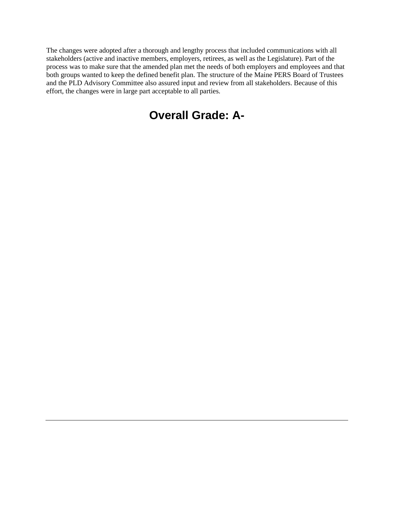The changes were adopted after a thorough and lengthy process that included communications with all stakeholders (active and inactive members, employers, retirees, as well as the Legislature). Part of the process was to make sure that the amended plan met the needs of both employers and employees and that both groups wanted to keep the defined benefit plan. The structure of the Maine PERS Board of Trustees and the PLD Advisory Committee also assured input and review from all stakeholders. Because of this effort, the changes were in large part acceptable to all parties.

# **Overall Grade: A-**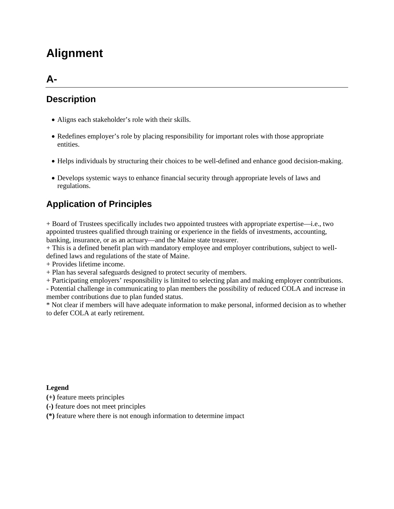# **Alignment**

### **A-**

### **Description**

- Aligns each stakeholder's role with their skills.
- Redefines employer's role by placing responsibility for important roles with those appropriate entities.
- Helps individuals by structuring their choices to be well-defined and enhance good decision-making.
- Develops systemic ways to enhance financial security through appropriate levels of laws and regulations.

### **Application of Principles**

+ Board of Trustees specifically includes two appointed trustees with appropriate expertise—i.e., two appointed trustees qualified through training or experience in the fields of investments, accounting, banking, insurance, or as an actuary—and the Maine state treasurer.

+ This is a defined benefit plan with mandatory employee and employer contributions, subject to welldefined laws and regulations of the state of Maine.

+ Provides lifetime income.

+ Plan has several safeguards designed to protect security of members.

+ Participating employers' responsibility is limited to selecting plan and making employer contributions.

- Potential challenge in communicating to plan members the possibility of reduced COLA and increase in member contributions due to plan funded status.

\* Not clear if members will have adequate information to make personal, informed decision as to whether to defer COLA at early retirement.

#### **Legend**

**(+)** feature meets principles

**(-)** feature does not meet principles

**(\*)** feature where there is not enough information to determine impact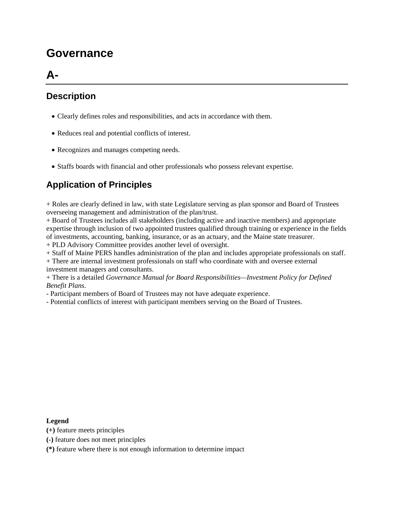# **Governance**

## **A-**

### **Description**

- Clearly defines roles and responsibilities, and acts in accordance with them.
- Reduces real and potential conflicts of interest.
- Recognizes and manages competing needs.
- Staffs boards with financial and other professionals who possess relevant expertise.

### **Application of Principles**

+ Roles are clearly defined in law, with state Legislature serving as plan sponsor and Board of Trustees overseeing management and administration of the plan/trust.

+ Board of Trustees includes all stakeholders (including active and inactive members) and appropriate expertise through inclusion of two appointed trustees qualified through training or experience in the fields of investments, accounting, banking, insurance, or as an actuary, and the Maine state treasurer.

+ PLD Advisory Committee provides another level of oversight.

+ Staff of Maine PERS handles administration of the plan and includes appropriate professionals on staff.

+ There are internal investment professionals on staff who coordinate with and oversee external investment managers and consultants.

+ There is a detailed *Governance Manual for Board Responsibilities—Investment Policy for Defined Benefit Plans*.

- Participant members of Board of Trustees may not have adequate experience.

- Potential conflicts of interest with participant members serving on the Board of Trustees.

#### **Legend**

- **(+)** feature meets principles
- **(-)** feature does not meet principles

**(\*)** feature where there is not enough information to determine impact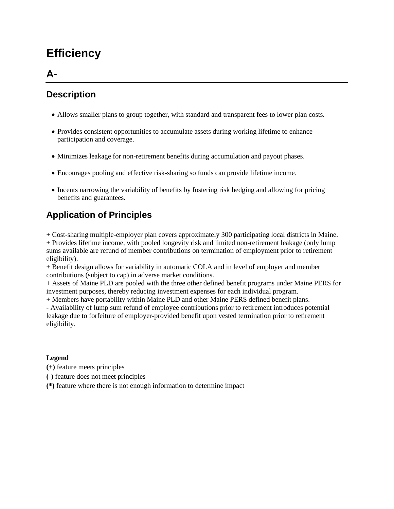# **Efficiency**

### **A-**

### **Description**

- Allows smaller plans to group together, with standard and transparent fees to lower plan costs.
- Provides consistent opportunities to accumulate assets during working lifetime to enhance participation and coverage.
- Minimizes leakage for non-retirement benefits during accumulation and payout phases.
- Encourages pooling and effective risk-sharing so funds can provide lifetime income.
- Incents narrowing the variability of benefits by fostering risk hedging and allowing for pricing benefits and guarantees.

## **Application of Principles**

+ Cost-sharing multiple-employer plan covers approximately 300 participating local districts in Maine. + Provides lifetime income, with pooled longevity risk and limited non-retirement leakage (only lump sums available are refund of member contributions on termination of employment prior to retirement eligibility).

+ Benefit design allows for variability in automatic COLA and in level of employer and member contributions (subject to cap) in adverse market conditions.

+ Assets of Maine PLD are pooled with the three other defined benefit programs under Maine PERS for investment purposes, thereby reducing investment expenses for each individual program.

+ Members have portability within Maine PLD and other Maine PERS defined benefit plans.

**-** Availability of lump sum refund of employee contributions prior to retirement introduces potential leakage due to forfeiture of employer-provided benefit upon vested termination prior to retirement eligibility.

#### **Legend**

- **(+)** feature meets principles
- **(-)** feature does not meet principles
- **(\*)** feature where there is not enough information to determine impact